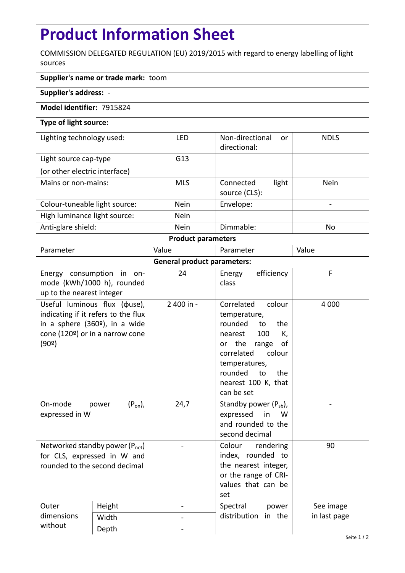## **Product Information Sheet**

COMMISSION DELEGATED REGULATION (EU) 2019/2015 with regard to energy labelling of light sources

## **Supplier's name or trade mark:** toom

**Supplier's address:** -

## **Model identifier:** 7915824

## **Type of light source:**

| Lighting technology used:     | LFD         | Non-directional<br><sub>or</sub><br>directional: | <b>NDLS</b> |  |  |  |
|-------------------------------|-------------|--------------------------------------------------|-------------|--|--|--|
| Light source cap-type         | G13         |                                                  |             |  |  |  |
| (or other electric interface) |             |                                                  |             |  |  |  |
| Mains or non-mains:           | <b>MLS</b>  | light<br>Connected<br>source (CLS):              | <b>Nein</b> |  |  |  |
| Colour-tuneable light source: | <b>Nein</b> | Envelope:                                        | -           |  |  |  |
| High luminance light source:  | <b>Nein</b> |                                                  |             |  |  |  |
| Anti-glare shield:            | <b>Nein</b> | Dimmable:                                        | No          |  |  |  |
| <b>Product parameters</b>     |             |                                                  |             |  |  |  |

| Parameter                          |                                                                                                                                                   | Value      | Parameter                                                                                                                                                                                                              | Value        |  |  |  |
|------------------------------------|---------------------------------------------------------------------------------------------------------------------------------------------------|------------|------------------------------------------------------------------------------------------------------------------------------------------------------------------------------------------------------------------------|--------------|--|--|--|
| <b>General product parameters:</b> |                                                                                                                                                   |            |                                                                                                                                                                                                                        |              |  |  |  |
| up to the nearest integer          | Energy consumption in on-<br>mode (kWh/1000 h), rounded                                                                                           | 24         | efficiency<br>Energy<br>class                                                                                                                                                                                          | F            |  |  |  |
| (90°)                              | Useful luminous flux ( $\phi$ use),<br>indicating if it refers to the flux<br>in a sphere $(360°)$ , in a wide<br>cone (120º) or in a narrow cone | 2 400 in - | Correlated<br>colour<br>temperature,<br>rounded<br>the<br>to<br>100<br>K,<br>nearest<br>the<br>οf<br>range<br>or<br>correlated<br>colour<br>temperatures,<br>rounded<br>to<br>the<br>nearest 100 K, that<br>can be set | 4 0 0 0      |  |  |  |
| On-mode<br>expressed in W          | $(P_{on})$ ,<br>power                                                                                                                             | 24,7       | Standby power $(P_{sb})$ ,<br>expressed<br>in<br>W<br>and rounded to the<br>second decimal                                                                                                                             |              |  |  |  |
| rounded to the second decimal      | Networked standby power $(P_{net})$<br>for CLS, expressed in W and                                                                                |            | Colour<br>rendering<br>index, rounded to<br>the nearest integer,<br>or the range of CRI-<br>values that can be<br>set                                                                                                  | 90           |  |  |  |
| Outer<br>dimensions<br>without     | Height                                                                                                                                            |            | Spectral<br>power                                                                                                                                                                                                      | See image    |  |  |  |
|                                    | Width                                                                                                                                             |            | distribution<br>in the                                                                                                                                                                                                 | in last page |  |  |  |
|                                    | Depth                                                                                                                                             |            |                                                                                                                                                                                                                        |              |  |  |  |